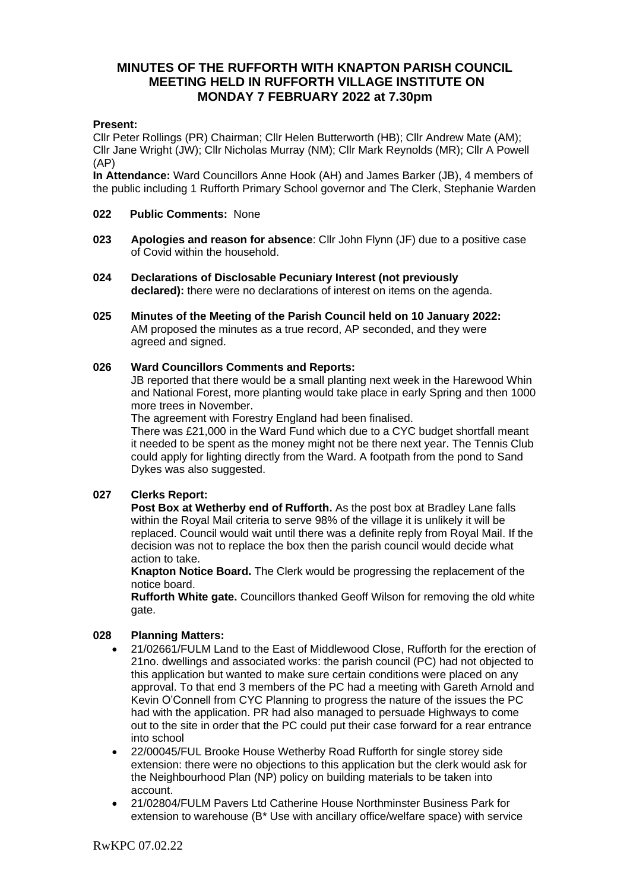# **MINUTES OF THE RUFFORTH WITH KNAPTON PARISH COUNCIL MEETING HELD IN RUFFORTH VILLAGE INSTITUTE ON MONDAY 7 FEBRUARY 2022 at 7.30pm**

### **Present:**

Cllr Peter Rollings (PR) Chairman; Cllr Helen Butterworth (HB); Cllr Andrew Mate (AM); Cllr Jane Wright (JW); Cllr Nicholas Murray (NM); Cllr Mark Reynolds (MR); Cllr A Powell (AP)

**In Attendance:** Ward Councillors Anne Hook (AH) and James Barker (JB), 4 members of the public including 1 Rufforth Primary School governor and The Clerk, Stephanie Warden

#### **022 Public Comments:** None

- **023 Apologies and reason for absence**: Cllr John Flynn (JF) due to a positive case of Covid within the household.
- **024 Declarations of Disclosable Pecuniary Interest (not previously declared):** there were no declarations of interest on items on the agenda.
- **025 Minutes of the Meeting of the Parish Council held on 10 January 2022:**  AM proposed the minutes as a true record, AP seconded, and they were agreed and signed.

### **026 Ward Councillors Comments and Reports:**

JB reported that there would be a small planting next week in the Harewood Whin and National Forest, more planting would take place in early Spring and then 1000 more trees in November.

The agreement with Forestry England had been finalised.

There was £21,000 in the Ward Fund which due to a CYC budget shortfall meant it needed to be spent as the money might not be there next year. The Tennis Club could apply for lighting directly from the Ward. A footpath from the pond to Sand Dykes was also suggested.

## **027 Clerks Report:**

**Post Box at Wetherby end of Rufforth.** As the post box at Bradley Lane falls within the Royal Mail criteria to serve 98% of the village it is unlikely it will be replaced. Council would wait until there was a definite reply from Royal Mail. If the decision was not to replace the box then the parish council would decide what action to take.

**Knapton Notice Board.** The Clerk would be progressing the replacement of the notice board.

**Rufforth White gate.** Councillors thanked Geoff Wilson for removing the old white gate.

## **028 Planning Matters:**

- 21/02661/FULM Land to the East of Middlewood Close, Rufforth for the erection of 21no. dwellings and associated works: the parish council (PC) had not objected to this application but wanted to make sure certain conditions were placed on any approval. To that end 3 members of the PC had a meeting with Gareth Arnold and Kevin O'Connell from CYC Planning to progress the nature of the issues the PC had with the application. PR had also managed to persuade Highways to come out to the site in order that the PC could put their case forward for a rear entrance into school
- 22/00045/FUL Brooke House Wetherby Road Rufforth for single storey side extension: there were no objections to this application but the clerk would ask for the Neighbourhood Plan (NP) policy on building materials to be taken into account.
- 21/02804/FULM Pavers Ltd Catherine House Northminster Business Park for extension to warehouse (B\* Use with ancillary office/welfare space) with service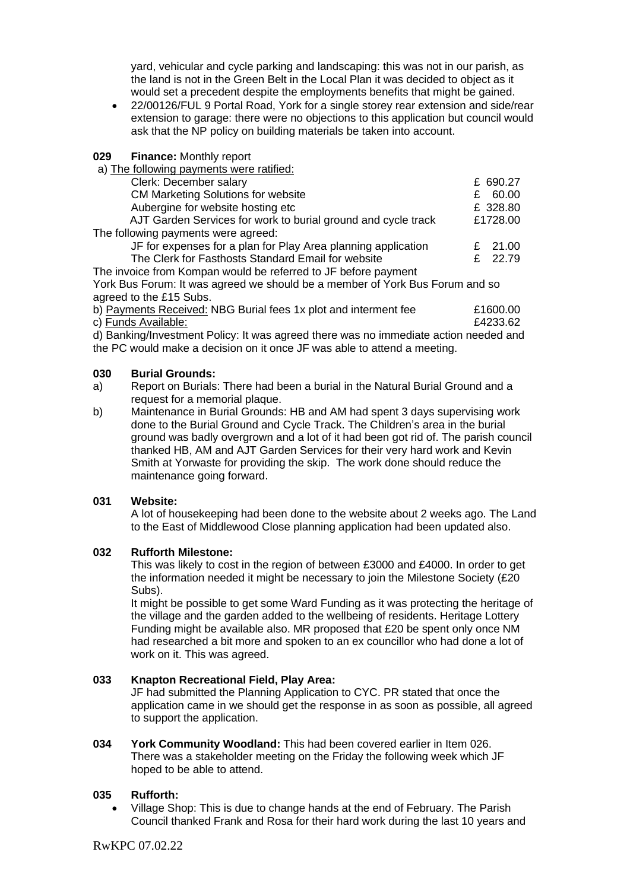yard, vehicular and cycle parking and landscaping: this was not in our parish, as the land is not in the Green Belt in the Local Plan it was decided to object as it would set a precedent despite the employments benefits that might be gained.

• 22/00126/FUL 9 Portal Road, York for a single storey rear extension and side/rear extension to garage: there were no objections to this application but council would ask that the NP policy on building materials be taken into account.

#### **029 Finance:** Monthly report

a) The following payments were ratified:

| Clerk: December salary                                         |   | £ 690.27 |
|----------------------------------------------------------------|---|----------|
| <b>CM Marketing Solutions for website</b>                      | £ | 60.00    |
| Aubergine for website hosting etc                              |   | £ 328.80 |
| AJT Garden Services for work to burial ground and cycle track  |   | £1728.00 |
| The following payments were agreed:                            |   |          |
| JF for expenses for a plan for Play Area planning application  |   | £ 21.00  |
| The Clerk for Fasthosts Standard Email for website             |   | £ 22.79  |
| The invoice from Kompan would be referred to JF before payment |   |          |
|                                                                |   |          |

York Bus Forum: It was agreed we should be a member of York Bus Forum and so agreed to the £15 Subs.

b) Payments Received: NBG Burial fees 1x plot and interment fee £1600.00 c) Funds Available:  $\epsilon$ 4233.62

d) Banking/Investment Policy: It was agreed there was no immediate action needed and the PC would make a decision on it once JF was able to attend a meeting.

### **030 Burial Grounds:**

- a) Report on Burials: There had been a burial in the Natural Burial Ground and a request for a memorial plaque.
- b) Maintenance in Burial Grounds: HB and AM had spent 3 days supervising work done to the Burial Ground and Cycle Track. The Children's area in the burial ground was badly overgrown and a lot of it had been got rid of. The parish council thanked HB, AM and AJT Garden Services for their very hard work and Kevin Smith at Yorwaste for providing the skip. The work done should reduce the maintenance going forward.

## **031 Website:**

A lot of housekeeping had been done to the website about 2 weeks ago. The Land to the East of Middlewood Close planning application had been updated also.

#### **032 Rufforth Milestone:**

This was likely to cost in the region of between £3000 and £4000. In order to get the information needed it might be necessary to join the Milestone Society (£20 Subs).

It might be possible to get some Ward Funding as it was protecting the heritage of the village and the garden added to the wellbeing of residents. Heritage Lottery Funding might be available also. MR proposed that £20 be spent only once NM had researched a bit more and spoken to an ex councillor who had done a lot of work on it. This was agreed.

## **033 Knapton Recreational Field, Play Area:**

JF had submitted the Planning Application to CYC. PR stated that once the application came in we should get the response in as soon as possible, all agreed to support the application.

**034 York Community Woodland:** This had been covered earlier in Item 026. There was a stakeholder meeting on the Friday the following week which JF hoped to be able to attend.

## **035 Rufforth:**

• Village Shop: This is due to change hands at the end of February. The Parish Council thanked Frank and Rosa for their hard work during the last 10 years and